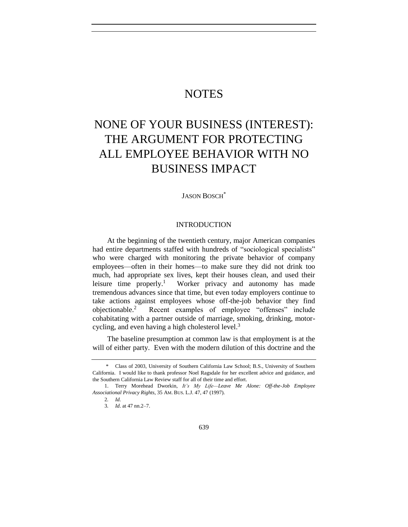## **NOTES**

# NONE OF YOUR BUSINESS (INTEREST): THE ARGUMENT FOR PROTECTING ALL EMPLOYEE BEHAVIOR WITH NO BUSINESS IMPACT

JASON BOSCH\*

#### <span id="page-0-0"></span>INTRODUCTION

At the beginning of the twentieth century, major American companies had entire departments staffed with hundreds of "sociological specialists" who were charged with monitoring the private behavior of company employees—often in their homes—to make sure they did not drink too much, had appropriate sex lives, kept their houses clean, and used their leisure time properly.<sup>1</sup> Worker privacy and autonomy has made tremendous advances since that time, but even today employers continue to take actions against employees whose off-the-job behavior they find objectionable.<sup>2</sup> Recent examples of employee "offenses" include cohabitating with a partner outside of marriage, smoking, drinking, motorcycling, and even having a high cholesterol level.<sup>3</sup>

The baseline presumption at common law is that employment is at the will of either party. Even with the modern dilution of this doctrine and the

<sup>\*</sup> Class of 2003, University of Southern California Law School; B.S., University of Southern California. I would like to thank professor Noel Ragsdale for her excellent advice and guidance, and the Southern California Law Review staff for all of their time and effort.

<sup>1.</sup> Terry Morehead Dworkin, *It's My Life—Leave Me Alone: Off-the-Job Employee Associational Privacy Rights*, 35 AM. BUS. L.J. 47, 47 (1997).

<sup>2</sup>*. Id.*

<sup>3</sup>*. Id*. at 47 nn.2–7.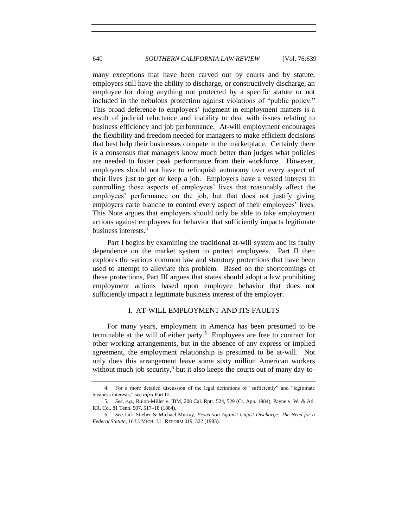many exceptions that have been carved out by courts and by statute, employers still have the ability to discharge, or constructively discharge, an employee for doing anything not protected by a specific statute or not included in the nebulous protection against violations of "public policy." This broad deference to employers' judgment in employment matters is a result of judicial reluctance and inability to deal with issues relating to business efficiency and job performance. At-will employment encourages the flexibility and freedom needed for managers to make efficient decisions that best help their businesses compete in the marketplace. Certainly there is a consensus that managers know much better than judges what policies are needed to foster peak performance from their workforce. However, employees should not have to relinquish autonomy over every aspect of their lives just to get or keep a job. Employers have a vested interest in controlling those aspects of employees' lives that reasonably affect the employees' performance on the job, but that does not justify giving employers carte blanche to control every aspect of their employees' lives. This Note argues that employers should only be able to take employment actions against employees for behavior that sufficiently impacts legitimate business interests.<sup>4</sup>

Part I begins by examining the traditional at-will system and its faulty dependence on the market system to protect employees. Part II then explores the various common law and statutory protections that have been used to attempt to alleviate this problem. Based on the shortcomings of these protections, Part III argues that states should adopt a law prohibiting employment actions based upon employee behavior that does not sufficiently impact a legitimate business interest of the employer.

#### <span id="page-1-0"></span>I. AT-WILL EMPLOYMENT AND ITS FAULTS

For many years, employment in America has been presumed to be terminable at the will of either party.<sup>5</sup> Employees are free to contract for other working arrangements, but in the absence of any express or implied agreement, the employment relationship is presumed to be at-will. Not only does this arrangement leave some sixty million American workers without much job security, $6$  but it also keeps the courts out of many day-to-

<sup>4.</sup> For a more detailed discussion of the legal definitions of "sufficiently" and "legitimate business interests," see *infra* Part III.

<sup>5</sup>*. See*, *e.g.*, Rulon-Miller v. IBM, 208 Cal. Rptr. 524, 529 (Ct. App. 1984); Payne v. W. & Atl. RR. Co., 81 Tenn. 507, 517–18 (1884).

<sup>6</sup>*. See* Jack Stieber & Michael Murray, *Protection Against Unjust Discharge: The Need for a Federal Statute*, 16 U. MICH. J.L. REFORM 319, 322 (1983).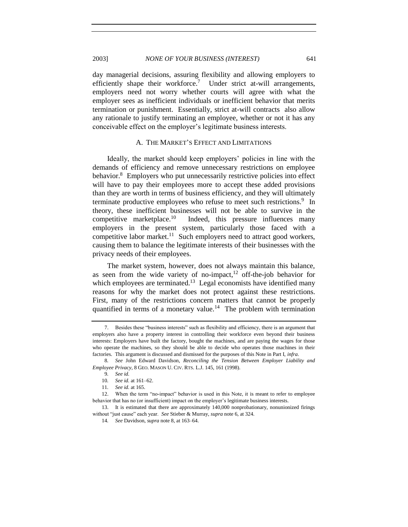#### 2003] *NONE OF YOUR BUSINESS (INTEREST)* 641

day managerial decisions, assuring flexibility and allowing employers to efficiently shape their workforce.<sup>7</sup> Under strict at-will arrangements, employers need not worry whether courts will agree with what the employer sees as inefficient individuals or inefficient behavior that merits termination or punishment. Essentially, strict at-will contracts also allow any rationale to justify terminating an employee, whether or not it has any conceivable effect on the employer's legitimate business interests.

#### A. THE MARKET'S EFFECT AND LIMITATIONS

<span id="page-2-0"></span>Ideally, the market should keep employers' policies in line with the demands of efficiency and remove unnecessary restrictions on employee behavior.<sup>8</sup> Employers who put unnecessarily restrictive policies into effect will have to pay their employees more to accept these added provisions than they are worth in terms of business efficiency, and they will ultimately terminate productive employees who refuse to meet such restrictions.<sup>9</sup> In theory, these inefficient businesses will not be able to survive in the competitive marketplace. $10$  Indeed, this pressure influences many employers in the present system, particularly those faced with a competitive labor market.<sup>11</sup> Such employers need to attract good workers, causing them to balance the legitimate interests of their businesses with the privacy needs of their employees.

The market system, however, does not always maintain this balance, as seen from the wide variety of no-impact, $12$  off-the-job behavior for which employees are terminated.<sup>13</sup> Legal economists have identified many reasons for why the market does not protect against these restrictions. First, many of the restrictions concern matters that cannot be properly quantified in terms of a monetary value.<sup>14</sup> The problem with termination

<sup>7.</sup> Besides these "business interests" such as flexibility and efficiency, there is an argument that employers also have a property interest in controlling their workforce even beyond their business interests: Employers have built the factory, bought the machines, and are paying the wages for those who operate the machines, so they should be able to decide who operates those machines in their factories. This argument is discussed and dismissed for the purposes of this Note in Part I, *infra*.

<sup>8</sup>*. See* John Edward Davidson, *Reconciling the Tension Between Employer Liability and Employee Privacy*, 8 GEO. MASON U. CIV. RTS. L.J. 145, 161 (1998).

<sup>9</sup>*. See id.*

<sup>10</sup>*. See id.* at 161–62.

<sup>11</sup>*. See id.* at 165.

<sup>12.</sup> When the term "no-impact" behavior is used in this Note, it is meant to refer to employee behavior that has no (or insufficient) impact on the employer's legitimate business interests.

<sup>13.</sup> It is estimated that there are approximately 140,000 nonprobationary, nonunionized firings without "just cause" each year. *See* Stieber & Murray, *supra* not[e 6,](#page-1-0) at 324.

<sup>14</sup>*. See* Davidson, *supra* note [8,](#page-2-0) at 163–64.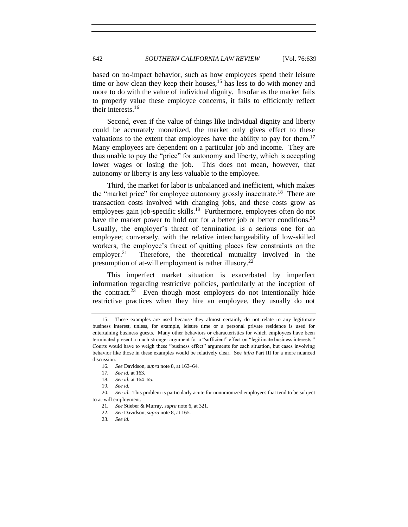based on no-impact behavior, such as how employees spend their leisure time or how clean they keep their houses,  $15$  has less to do with money and more to do with the value of individual dignity. Insofar as the market fails to properly value these employee concerns, it fails to efficiently reflect their interests.<sup>16</sup>

Second, even if the value of things like individual dignity and liberty could be accurately monetized, the market only gives effect to these valuations to the extent that employees have the ability to pay for them.<sup>17</sup> Many employees are dependent on a particular job and income. They are thus unable to pay the "price" for autonomy and liberty, which is accepting lower wages or losing the job. This does not mean, however, that autonomy or liberty is any less valuable to the employee.

Third, the market for labor is unbalanced and inefficient, which makes the "market price" for employee autonomy grossly inaccurate.<sup>18</sup> There are transaction costs involved with changing jobs, and these costs grow as employees gain job-specific skills.<sup>19</sup> Furthermore, employees often do not have the market power to hold out for a better job or better conditions.<sup>20</sup> Usually, the employer's threat of termination is a serious one for an employee; conversely, with the relative interchangeability of low-skilled workers, the employee's threat of quitting places few constraints on the employer. $21$  Therefore, the theoretical mutuality involved in the presumption of at-will employment is rather illusory.<sup>22</sup>

This imperfect market situation is exacerbated by imperfect information regarding restrictive policies, particularly at the inception of the contract.<sup>23</sup> Even though most employers do not intentionally hide restrictive practices when they hire an employee, they usually do not

<sup>15.</sup> These examples are used because they almost certainly do not relate to any legitimate business interest, unless, for example, leisure time or a personal private residence is used for entertaining business guests. Many other behaviors or characteristics for which employees have been terminated present a much stronger argument for a "sufficient" effect on "legitimate business interests." Courts would have to weigh these "business effect" arguments for each situation, but cases involving behavior like those in these examples would be relatively clear. See *infra* Part III for a more nuanced discussion.

<sup>16</sup>*. See* Davidson, *supra* note [8,](#page-2-0) at 163–64.

<sup>17</sup>*. See id.* at 163.

<sup>18</sup>*. See id.* at 164–65.

<sup>19</sup>*. See id.*

<sup>20</sup>*. See id.* This problem is particularly acute for nonunionized employees that tend to be subject to at-will employment.

<sup>21</sup>*. See* Stieber & Murray, *supra* not[e 6,](#page-1-0) at 321.

<sup>22</sup>*. See* Davidson, *supra* note [8,](#page-2-0) at 165.

<sup>23</sup>*. See id.*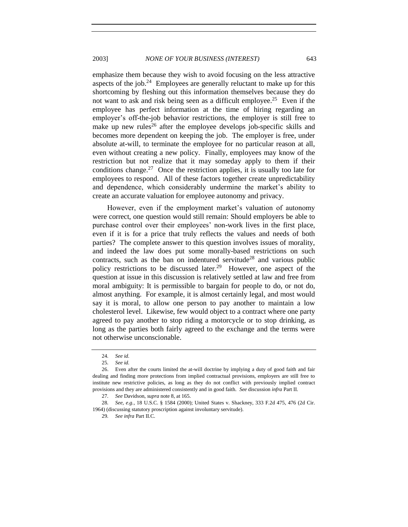emphasize them because they wish to avoid focusing on the less attractive aspects of the job.<sup>24</sup> Employees are generally reluctant to make up for this shortcoming by fleshing out this information themselves because they do not want to ask and risk being seen as a difficult employee.<sup>25</sup> Even if the employee has perfect information at the time of hiring regarding an employer's off-the-job behavior restrictions, the employer is still free to make up new rules<sup>26</sup> after the employee develops job-specific skills and becomes more dependent on keeping the job. The employer is free, under absolute at-will, to terminate the employee for no particular reason at all, even without creating a new policy. Finally, employees may know of the restriction but not realize that it may someday apply to them if their conditions change.<sup>27</sup> Once the restriction applies, it is usually too late for employees to respond. All of these factors together create unpredictability and dependence, which considerably undermine the market's ability to create an accurate valuation for employee autonomy and privacy.

However, even if the employment market's valuation of autonomy were correct, one question would still remain: Should employers be able to purchase control over their employees' non-work lives in the first place, even if it is for a price that truly reflects the values and needs of both parties? The complete answer to this question involves issues of morality, and indeed the law does put some morally-based restrictions on such contracts, such as the ban on indentured servitude<sup>28</sup> and various public policy restrictions to be discussed later.<sup>29</sup> However, one aspect of the question at issue in this discussion is relatively settled at law and free from moral ambiguity: It is permissible to bargain for people to do, or not do, almost anything. For example, it is almost certainly legal, and most would say it is moral, to allow one person to pay another to maintain a low cholesterol level. Likewise, few would object to a contract where one party agreed to pay another to stop riding a motorcycle or to stop drinking, as long as the parties both fairly agreed to the exchange and the terms were not otherwise unconscionable.

<sup>24</sup>*. See id.*

<sup>25</sup>*. See id.*

<sup>26.</sup> Even after the courts limited the at-will doctrine by implying a duty of good faith and fair dealing and finding more protections from implied contractual provisions, employers are still free to institute new restrictive policies, as long as they do not conflict with previously implied contract provisions and they are administered consistently and in good faith. *See* discussion *infra* Part II.

<sup>27</sup>*. See* Davidson, *supra* note [8,](#page-2-0) at 165.

<sup>28</sup>*. See, e.g.*, 18 U.S.C. § 1584 (2000); United States v. Shackney, 333 F.2d 475, 476 (2d Cir. 1964) (discussing statutory proscription against involuntary servitude).

<sup>29</sup>*. See infra* Part II.C.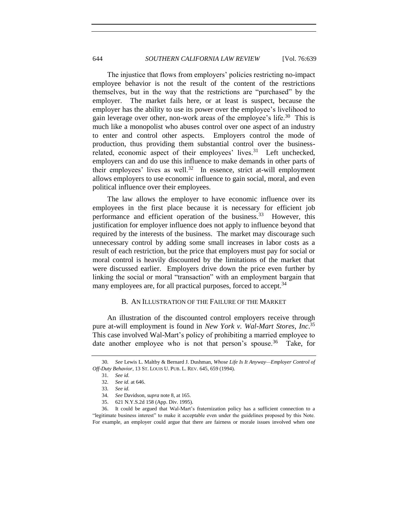<span id="page-5-0"></span>The injustice that flows from employers' policies restricting no-impact employee behavior is not the result of the content of the restrictions themselves, but in the way that the restrictions are "purchased" by the employer. The market fails here, or at least is suspect, because the employer has the ability to use its power over the employee's livelihood to gain leverage over other, non-work areas of the employee's life.<sup>30</sup> This is much like a monopolist who abuses control over one aspect of an industry to enter and control other aspects. Employers control the mode of production, thus providing them substantial control over the businessrelated, economic aspect of their employees' lives.<sup>31</sup> Left unchecked, employers can and do use this influence to make demands in other parts of their employees' lives as well.<sup>32</sup> In essence, strict at-will employment allows employers to use economic influence to gain social, moral, and even political influence over their employees.

The law allows the employer to have economic influence over its employees in the first place because it is necessary for efficient job performance and efficient operation of the business.<sup>33</sup> However, this justification for employer influence does not apply to influence beyond that required by the interests of the business. The market may discourage such unnecessary control by adding some small increases in labor costs as a result of each restriction, but the price that employers must pay for social or moral control is heavily discounted by the limitations of the market that were discussed earlier. Employers drive down the price even further by linking the social or moral "transaction" with an employment bargain that many employees are, for all practical purposes, forced to accept.<sup>34</sup>

#### <span id="page-5-1"></span>B. AN ILLUSTRATION OF THE FAILURE OF THE MARKET

An illustration of the discounted control employers receive through pure at-will employment is found in *New York v. Wal-Mart Stores, Inc*. 35 This case involved Wal-Mart's policy of prohibiting a married employee to date another employee who is not that person's spouse.<sup>36</sup> Take, for

<sup>30</sup>*. See* Lewis L. Maltby & Bernard J. Dushman, *Whose Life Is It Anyway—Employer Control of Off-Duty Behavior*, 13 ST. LOUIS U. PUB. L. REV. 645, 659 (1994).

<sup>31</sup>*. See id.*

<sup>32</sup>*. See id.* at 646.

<sup>33</sup>*. See id.*

<sup>34</sup>*. See* Davidson, *supra* note [8,](#page-2-0) at 165.

<sup>35.</sup> 621 N.Y.S.2d 158 (App. Div. 1995).

<sup>36.</sup> It could be argued that Wal-Mart's fraternization policy has a sufficient connection to a "legitimate business interest" to make it acceptable even under the guidelines proposed by this Note. For example, an employer could argue that there are fairness or morale issues involved when one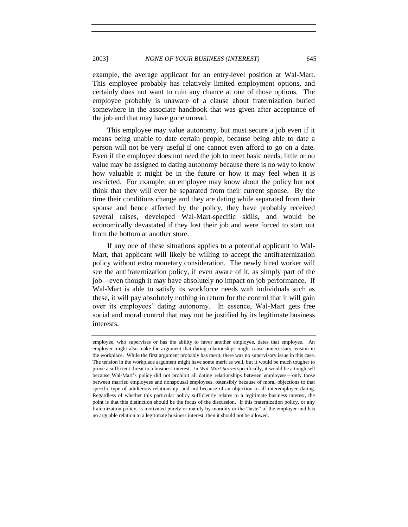example, the average applicant for an entry-level position at Wal-Mart. This employee probably has relatively limited employment options, and certainly does not want to ruin any chance at one of those options. The employee probably is unaware of a clause about fraternization buried somewhere in the associate handbook that was given after acceptance of the job and that may have gone unread.

This employee may value autonomy, but must secure a job even if it means being unable to date certain people, because being able to date a person will not be very useful if one cannot even afford to go on a date. Even if the employee does not need the job to meet basic needs, little or no value may be assigned to dating autonomy because there is no way to know how valuable it might be in the future or how it may feel when it is restricted. For example, an employee may know about the policy but not think that they will ever be separated from their current spouse. By the time their conditions change and they are dating while separated from their spouse and hence affected by the policy, they have probably received several raises, developed Wal-Mart-specific skills, and would be economically devastated if they lost their job and were forced to start out from the bottom at another store.

If any one of these situations applies to a potential applicant to Wal-Mart, that applicant will likely be willing to accept the antifraternization policy without extra monetary consideration. The newly hired worker will see the antifraternization policy, if even aware of it, as simply part of the job—even though it may have absolutely no impact on job performance. If Wal-Mart is able to satisfy its workforce needs with individuals such as these, it will pay absolutely nothing in return for the control that it will gain over its employees' dating autonomy. In essence, Wal-Mart gets free social and moral control that may not be justified by its legitimate business interests.

employee, who supervises or has the ability to favor another employee, dates that employee. An employer might also make the argument that dating relationships might cause unnecessary tension in the workplace. While the first argument probably has merit, there was no supervisory issue in this case. The tension in the workplace argument might have some merit as well, but it would be much tougher to prove a sufficient threat to a business interest. In *Wal-Mart Stores* specifically, it would be a tough sell because Wal-Mart's policy did not prohibit all dating relationships between employees—only those between married employees and nonspousal employees, ostensibly because of moral objections to that specific type of adulterous relationship, and not because of an objection to all interemployee dating. Regardless of whether this particular policy sufficiently relates to a legitimate business interest, the point is that this distinction should be the focus of the discussion. If this fraternization policy, or any fraternization policy, is motivated purely or mainly by morality or the "taste" of the employer and has no arguable relation to a legitimate business interest, then it should not be allowed.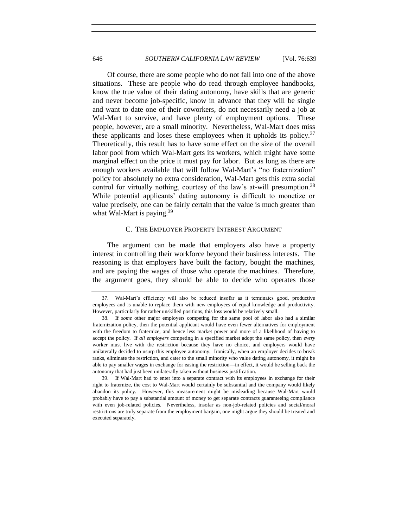Of course, there are some people who do not fall into one of the above situations. These are people who do read through employee handbooks, know the true value of their dating autonomy, have skills that are generic and never become job-specific, know in advance that they will be single and want to date one of their coworkers, do not necessarily need a job at Wal-Mart to survive, and have plenty of employment options. These people, however, are a small minority. Nevertheless, Wal-Mart does miss these applicants and loses these employees when it upholds its policy. $37$ Theoretically, this result has to have some effect on the size of the overall labor pool from which Wal-Mart gets its workers, which might have some marginal effect on the price it must pay for labor. But as long as there are enough workers available that will follow Wal-Mart's "no fraternization" policy for absolutely no extra consideration, Wal-Mart gets this extra social control for virtually nothing, courtesy of the law's at-will presumption.<sup>38</sup> While potential applicants' dating autonomy is difficult to monetize or value precisely, one can be fairly certain that the value is much greater than what Wal-Mart is paying.<sup>39</sup>

#### C. THE EMPLOYER PROPERTY INTEREST ARGUMENT

The argument can be made that employers also have a property interest in controlling their workforce beyond their business interests. The reasoning is that employers have built the factory, bought the machines, and are paying the wages of those who operate the machines. Therefore, the argument goes, they should be able to decide who operates those

<sup>37.</sup> Wal-Mart's efficiency will also be reduced insofar as it terminates good, productive employees and is unable to replace them with new employees of equal knowledge and productivity. However, particularly for rather unskilled positions, this loss would be relatively small.

<sup>38.</sup> If *some* other major employers competing for the same pool of labor also had a similar fraternization policy, then the potential applicant would have even fewer alternatives for employment with the freedom to fraternize, and hence less market power and more of a likelihood of having to accept the policy. If *all employers* competing in a specified market adopt the same policy, then *every* worker must live with the restriction because they have no choice, and employers would have unilaterally decided to usurp this employee autonomy. Ironically, when an employer decides to break ranks, eliminate the restriction, and cater to the small minority who value dating autonomy, it might be able to pay smaller wages in exchange for easing the restriction—in effect, it would be selling back the autonomy that had just been unilaterally taken without business justification.

<sup>39.</sup> If Wal-Mart had to enter into a separate contract with its employees in exchange for their right to fraternize, the cost to Wal-Mart would certainly be substantial and the company would likely abandon its policy. However, this measurement might be misleading because Wal-Mart would probably have to pay a substantial amount of money to get separate contracts guaranteeing compliance with even job-related policies. Nevertheless, insofar as non-job-related policies and social/moral restrictions are truly separate from the employment bargain, one might argue they should be treated and executed separately.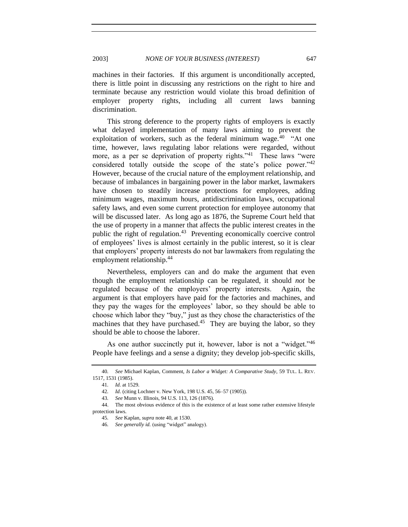machines in their factories. If this argument is unconditionally accepted, there is little point in discussing any restrictions on the right to hire and terminate because any restriction would violate this broad definition of employer property rights, including all current laws banning discrimination.

This strong deference to the property rights of employers is exactly what delayed implementation of many laws aiming to prevent the exploitation of workers, such as the federal minimum wage.<sup>40</sup> "At one time, however, laws regulating labor relations were regarded, without more, as a per se deprivation of property rights."<sup>41</sup> These laws "were considered totally outside the scope of the state's police power."<sup>42</sup> However, because of the crucial nature of the employment relationship, and because of imbalances in bargaining power in the labor market, lawmakers have chosen to steadily increase protections for employees, adding minimum wages, maximum hours, antidiscrimination laws, occupational safety laws, and even some current protection for employee autonomy that will be discussed later. As long ago as 1876, the Supreme Court held that the use of property in a manner that affects the public interest creates in the public the right of regulation.<sup>43</sup> Preventing economically coercive control of employees' lives is almost certainly in the public interest, so it is clear that employers' property interests do not bar lawmakers from regulating the employment relationship.<sup>44</sup>

Nevertheless, employers can and do make the argument that even though the employment relationship can be regulated, it should *not* be regulated because of the employers' property interests. Again, the argument is that employers have paid for the factories and machines, and they pay the wages for the employees' labor, so they should be able to choose which labor they "buy," just as they chose the characteristics of the machines that they have purchased.<sup>45</sup> They are buying the labor, so they should be able to choose the laborer.

As one author succinctly put it, however, labor is not a "widget."<sup>46</sup> People have feelings and a sense a dignity; they develop job-specific skills,

<span id="page-8-0"></span>

<sup>40</sup>*. See* Michael Kaplan, Comment, *Is Labor a Widget: A Comparative Study*, 59 TUL. L. REV. 1517, 1531 (1985).

<sup>41</sup>*. Id.* at 1529*.*

<sup>42</sup>*. Id*. (citing Lochner v. New York, 198 U.S. 45, 56–57 (1905)).

<sup>43</sup>*. See* Munn v. Illinois, 94 U.S. 113, 126 (1876).

<sup>44.</sup> The most obvious evidence of this is the existence of at least some rather extensive lifestyle protection laws.

<sup>45</sup>*. See* Kaplan, *supra* not[e 40,](#page-8-0) at 1530.

<sup>46.</sup> See generally id. (using "widget" analogy).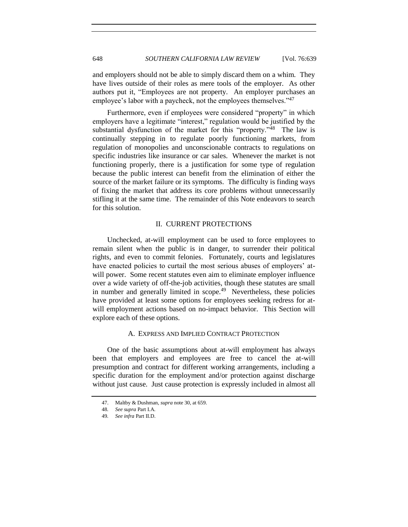and employers should not be able to simply discard them on a whim. They have lives outside of their roles as mere tools of the employer. As other authors put it, "Employees are not property. An employer purchases an employee's labor with a paycheck, not the employees themselves."<sup>47</sup>

Furthermore, even if employees were considered "property" in which employers have a legitimate "interest," regulation would be justified by the substantial dysfunction of the market for this "property."<sup>48</sup> The law is continually stepping in to regulate poorly functioning markets, from regulation of monopolies and unconscionable contracts to regulations on specific industries like insurance or car sales. Whenever the market is not functioning properly, there is a justification for some type of regulation because the public interest can benefit from the elimination of either the source of the market failure or its symptoms. The difficulty is finding ways of fixing the market that address its core problems without unnecessarily stifling it at the same time. The remainder of this Note endeavors to search for this solution.

### II. CURRENT PROTECTIONS

Unchecked, at-will employment can be used to force employees to remain silent when the public is in danger, to surrender their political rights, and even to commit felonies. Fortunately, courts and legislatures have enacted policies to curtail the most serious abuses of employers' atwill power. Some recent statutes even aim to eliminate employer influence over a wide variety of off-the-job activities, though these statutes are small in number and generally limited in scope.<sup>49</sup> Nevertheless, these policies have provided at least some options for employees seeking redress for atwill employment actions based on no-impact behavior. This Section will explore each of these options.

#### A. EXPRESS AND IMPLIED CONTRACT PROTECTION

One of the basic assumptions about at-will employment has always been that employers and employees are free to cancel the at-will presumption and contract for different working arrangements, including a specific duration for the employment and/or protection against discharge without just cause. Just cause protection is expressly included in almost all

<sup>47.</sup> Maltby & Dushman, *supra* not[e 30,](#page-5-0) at 659.

<sup>48</sup>*. See supra* Part I.A.

<sup>49</sup>*. See infra* Part II.D.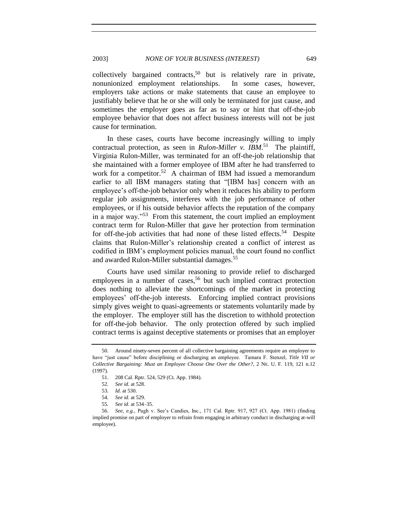collectively bargained contracts,<sup>50</sup> but is relatively rare in private, nonunionized employment relationships. In some cases, however, employers take actions or make statements that cause an employee to justifiably believe that he or she will only be terminated for just cause, and sometimes the employer goes as far as to say or hint that off-the-job employee behavior that does not affect business interests will not be just cause for termination.

In these cases, courts have become increasingly willing to imply contractual protection, as seen in *Rulon-Miller v. IBM*. 51 The plaintiff, Virginia Rulon-Miller, was terminated for an off-the-job relationship that she maintained with a former employee of IBM after he had transferred to work for a competitor.<sup>52</sup> A chairman of IBM had issued a memorandum earlier to all IBM managers stating that "[IBM has] concern with an employee's off-the-job behavior only when it reduces his ability to perform regular job assignments, interferes with the job performance of other employees, or if his outside behavior affects the reputation of the company in a major way. $153$  From this statement, the court implied an employment contract term for Rulon-Miller that gave her protection from termination for off-the-job activities that had none of these listed effects.<sup>54</sup> Despite claims that Rulon-Miller's relationship created a conflict of interest as codified in IBM's employment policies manual, the court found no conflict and awarded Rulon-Miller substantial damages.<sup>55</sup>

Courts have used similar reasoning to provide relief to discharged employees in a number of cases,<sup>56</sup> but such implied contract protection does nothing to alleviate the shortcomings of the market in protecting employees' off-the-job interests. Enforcing implied contract provisions simply gives weight to quasi-agreements or statements voluntarily made by the employer. The employer still has the discretion to withhold protection for off-the-job behavior. The only protection offered by such implied contract terms is against deceptive statements or promises that an employer

<sup>50.</sup> Around ninety-seven percent of all collective bargaining agreements require an employer to have "just cause" before disciplining or discharging an employee. Tamara F. Stenzel, *Title VII or Collective Bargaining: Must an Employee Choose One Over the Other?*, 2 NE. U. F. 119, 121 n.12 (1997).

<sup>51.</sup> 208 Cal. Rptr. 524, 529 (Ct. App. 1984).

<sup>52</sup>*. See id.* at 528.

<sup>53</sup>*. Id.* at 530.

<sup>54</sup>*. See id.* at 529.

<sup>55</sup>*. See id.* at 534–35.

<sup>56</sup>*. See, e.g.*, Pugh v. See's Candies, Inc., 171 Cal. Rptr. 917, 927 (Ct. App. 1981) (finding implied promise on part of employer to refrain from engaging in arbitrary conduct in discharging at-will employee).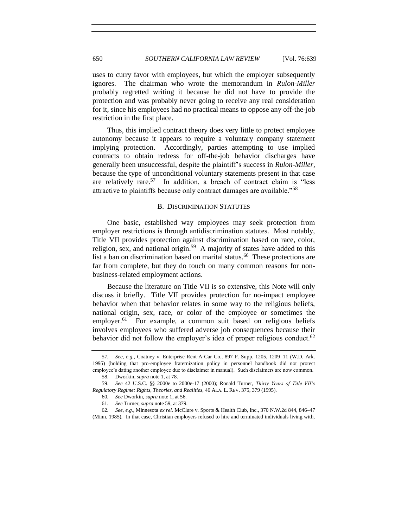uses to curry favor with employees, but which the employer subsequently ignores. The chairman who wrote the memorandum in *Rulon-Miller* probably regretted writing it because he did not have to provide the protection and was probably never going to receive any real consideration for it, since his employees had no practical means to oppose any off-the-job restriction in the first place.

Thus, this implied contract theory does very little to protect employee autonomy because it appears to require a voluntary company statement implying protection. Accordingly, parties attempting to use implied contracts to obtain redress for off-the-job behavior discharges have generally been unsuccessful, despite the plaintiff's success in *Rulon-Miller*, because the type of unconditional voluntary statements present in that case are relatively rare.<sup>57</sup> In addition, a breach of contract claim is "less attractive to plaintiffs because only contract damages are available."<sup>58</sup>

#### <span id="page-11-0"></span>B. DISCRIMINATION STATUTES

One basic, established way employees may seek protection from employer restrictions is through antidiscrimination statutes. Most notably, Title VII provides protection against discrimination based on race, color, religion, sex, and national origin.<sup>59</sup> A majority of states have added to this list a ban on discrimination based on marital status.<sup>60</sup> These protections are far from complete, but they do touch on many common reasons for nonbusiness-related employment actions.

Because the literature on Title VII is so extensive, this Note will only discuss it briefly. Title VII provides protection for no-impact employee behavior when that behavior relates in some way to the religious beliefs, national origin, sex, race, or color of the employee or sometimes the employer.<sup>61</sup> For example, a common suit based on religious beliefs involves employees who suffered adverse job consequences because their behavior did not follow the employer's idea of proper religious conduct.<sup>62</sup>

<sup>57</sup>*. See, e.g.*, Coatney v. Enterprise Rent-A-Car Co., 897 F. Supp. 1205, 1209–11 (W.D. Ark. 1995) (holding that pro-employee fraternization policy in personnel handbook did not protect employee's dating another employee due to disclaimer in manual). Such disclaimers are now common.

<sup>58.</sup> Dworkin, *supra* not[e 1,](#page-0-0) at 78.

<sup>59.</sup> *See* 42 U.S.C. §§ 2000e to 2000e-17 (2000); Ronald Turner, *Thirty Years of Title VII's Regulatory Regime: Rights, Theories, and Realities*, 46 ALA. L. REV. 375, 379 (1995).

<sup>60</sup>*. See* Dworkin, *supra* not[e 1,](#page-0-0) at 56.

<sup>61</sup>*. See* Turner, *supra* not[e 59,](#page-11-0) at 379.

<sup>62</sup>*. See, e.g.*, Minnesota *ex rel.* McClure v. Sports & Health Club, Inc., 370 N.W.2d 844, 846–47 (Minn. 1985). In that case, Christian employers refused to hire and terminated individuals living with,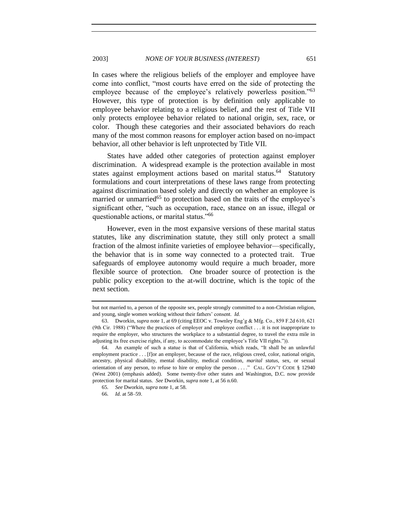#### 2003] *NONE OF YOUR BUSINESS (INTEREST)* 651

In cases where the religious beliefs of the employer and employee have come into conflict, "most courts have erred on the side of protecting the employee because of the employee's relatively powerless position."<sup>63</sup> However, this type of protection is by definition only applicable to employee behavior relating to a religious belief, and the rest of Title VII only protects employee behavior related to national origin, sex, race, or color. Though these categories and their associated behaviors do reach many of the most common reasons for employer action based on no-impact behavior, all other behavior is left unprotected by Title VII.

States have added other categories of protection against employer discrimination. A widespread example is the protection available in most states against employment actions based on marital status.<sup>64</sup> Statutory formulations and court interpretations of these laws range from protecting against discrimination based solely and directly on whether an employee is married or unmarried<sup>65</sup> to protection based on the traits of the employee's significant other, "such as occupation, race, stance on an issue, illegal or questionable actions, or marital status."<sup>66</sup>

However, even in the most expansive versions of these marital status statutes, like any discrimination statute, they still only protect a small fraction of the almost infinite varieties of employee behavior—specifically, the behavior that is in some way connected to a protected trait. True safeguards of employee autonomy would require a much broader, more flexible source of protection. One broader source of protection is the public policy exception to the at-will doctrine, which is the topic of the next section.

but not married to, a person of the opposite sex, people strongly committed to a non-Christian religion, and young, single women working without their fathers' consent. *Id.*

<sup>63.</sup> Dworkin, *supra* not[e 1,](#page-0-0) at 69 (citing EEOC v. Townley Eng'g & Mfg. Co., 859 F.2d 610, 621 (9th Cir. 1988) ("Where the practices of employer and employee conflict  $\dots$  it is not inappropriate to require the employer, who structures the workplace to a substantial degree, to travel the extra mile in adjusting its free exercise rights, if any, to accommodate the employee's Title VII rights.")).

<sup>64.</sup> An example of such a statue is that of California, which reads, "It shall be an unlawful employment practice . . . [f]or an employer, because of the race, religious creed, color, national origin, ancestry, physical disability, mental disability, medical condition, *marital status*, sex, or sexual orientation of any person, to refuse to hire or employ the person . . . ." CAL. GOV'T CODE § 12940 (West 2001) (emphasis added). Some twenty-five other states and Washington, D.C. now provide protection for marital status. *See* Dworkin, *supra* not[e 1,](#page-0-0) at 56 n.60.

<sup>65</sup>*. See* Dworkin, *supra* not[e 1,](#page-0-0) at 58.

<sup>66</sup>*. Id.* at 58–59.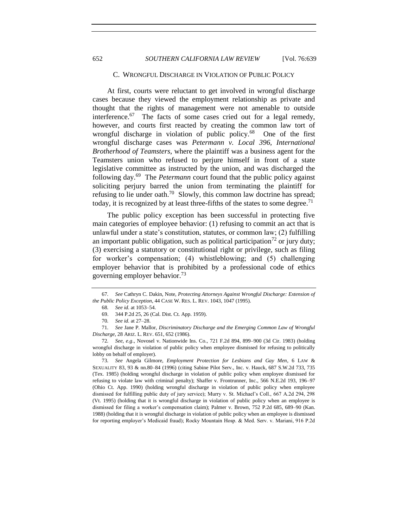#### C. WRONGFUL DISCHARGE IN VIOLATION OF PUBLIC POLICY

At first, courts were reluctant to get involved in wrongful discharge cases because they viewed the employment relationship as private and thought that the rights of management were not amenable to outside interference.<sup>67</sup> The facts of some cases cried out for a legal remedy, however, and courts first reacted by creating the common law tort of wrongful discharge in violation of public policy.<sup>68</sup> One of the first wrongful discharge cases was *Petermann v. Local 396, International Brotherhood of Teamsters*, where the plaintiff was a business agent for the Teamsters union who refused to perjure himself in front of a state legislative committee as instructed by the union, and was discharged the following day.<sup>69</sup> The *Petermann* court found that the public policy against soliciting perjury barred the union from terminating the plaintiff for refusing to lie under oath.<sup>70</sup> Slowly, this common law doctrine has spread; today, it is recognized by at least three-fifths of the states to some degree.<sup>71</sup>

<span id="page-13-2"></span><span id="page-13-1"></span>The public policy exception has been successful in protecting five main categories of employee behavior: (1) refusing to commit an act that is unlawful under a state's constitution, statutes, or common law; (2) fulfilling an important public obligation, such as political participation<sup>72</sup> or jury duty; (3) exercising a statutory or constitutional right or privilege, such as filing for worker's compensation; (4) whistleblowing; and (5) challenging employer behavior that is prohibited by a professional code of ethics governing employer behavior.<sup>73</sup>

73*. See* Angela Gilmore, *Employment Protection for Lesbians and Gay Men*, 6 LAW & SEXUALITY 83, 93 & nn.80–84 (1996) (citing Sabine Pilot Serv., Inc. v. Hauck, 687 S.W.2d 733, 735 (Tex. 1985) (holding wrongful discharge in violation of public policy when employee dismissed for refusing to violate law with criminal penalty); Shaffer v. Frontrunner, Inc., 566 N.E.2d 193, 196–97 (Ohio Ct. App. 1990) (holding wrongful discharge in violation of public policy when employee dismissed for fulfilling public duty of jury service); Murry v. St. Michael's Coll., 667 A.2d 294, 298 (Vt. 1995) (holding that it is wrongful discharge in violation of public policy when an employee is dismissed for filing a worker's compensation claim); Palmer v. Brown, 752 P.2d 685, 689–90 (Kan. 1988) (holding that it is wrongful discharge in violation of public policy when an employee is dismissed for reporting employer's Medicaid fraud); Rocky Mountain Hosp. & Med. Serv. v. Mariani, 916 P.2d

<sup>67</sup>*. See* Cathryn C. Dakin, Note, *Protecting Attorneys Against Wrongful Discharge: Extension of the Public Policy Exception*, 44 CASE W. RES. L. REV. 1043, 1047 (1995).

<span id="page-13-0"></span><sup>68</sup>*. See id.* at 1053–54.

<sup>69.</sup> 344 P.2d 25, 26 (Cal. Dist. Ct. App. 1959).

<sup>70</sup>*. See id.* at 27–28.

<sup>71</sup>*. See* Jane P. Mallor, *Discriminatory Discharge and the Emerging Common Law of Wrongful Discharge*, 28 ARIZ. L. REV. 651, 652 (1986).

<sup>72</sup>*. See, e.g*., Novosel v. Nationwide Ins. Co., 721 F.2d 894, 899–900 (3d Cir. 1983) (holding wrongful discharge in violation of public policy when employee dismissed for refusing to politically lobby on behalf of employer).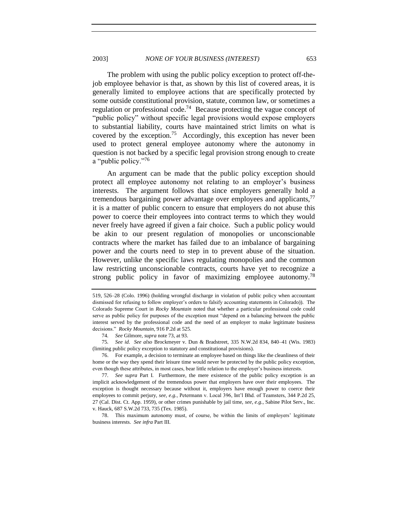The problem with using the public policy exception to protect off-thejob employee behavior is that, as shown by this list of covered areas, it is generally limited to employee actions that are specifically protected by some outside constitutional provision, statute, common law, or sometimes a regulation or professional code.<sup>74</sup> Because protecting the vague concept of "public policy" without specific legal provisions would expose employers to substantial liability, courts have maintained strict limits on what is covered by the exception.<sup>75</sup> Accordingly, this exception has never been used to protect general employee autonomy where the autonomy in question is not backed by a specific legal provision strong enough to create a "public policy."76

An argument can be made that the public policy exception should protect all employee autonomy not relating to an employer's business interests. The argument follows that since employers generally hold a tremendous bargaining power advantage over employees and applicants,  $77$ it is a matter of public concern to ensure that employers do not abuse this power to coerce their employees into contract terms to which they would never freely have agreed if given a fair choice. Such a public policy would be akin to our present regulation of monopolies or unconscionable contracts where the market has failed due to an imbalance of bargaining power and the courts need to step in to prevent abuse of the situation. However, unlike the specific laws regulating monopolies and the common law restricting unconscionable contracts, courts have yet to recognize a strong public policy in favor of maximizing employee autonomy.<sup>78</sup>

<sup>519, 526–28 (</sup>Colo. 1996) (holding wrongful discharge in violation of public policy when accountant dismissed for refusing to follow employer's orders to falsify accounting statements in Colorado)). The Colorado Supreme Court in *Rocky Mountain* noted that whether a particular professional code could serve as public policy for purposes of the exception must "depend on a balancing between the public interest served by the professional code and the need of an employer to make legitimate business decisions.‖ *Rocky Mountain*, 916 P.2d at 525.

<sup>74</sup>*. See* Gilmore, *supra* note [73,](#page-13-0) at 93.

<sup>75</sup>*. See id*. *See also* Brockmeyer v. Dun & Bradstreet, 335 N.W.2d 834, 840–41 (Wis. 1983) (limiting public policy exception to statutory and constitutional provisions).

<sup>76.</sup> For example, a decision to terminate an employee based on things like the cleanliness of their home or the way they spend their leisure time would never be protected by the public policy exception, even though these attributes, in most cases, bear little relation to the employer's business interests.

<sup>77</sup>*. See supra* Part I. Furthermore, the mere existence of the public policy exception is an implicit acknowledgement of the tremendous power that employers have over their employees. The exception is thought necessary because without it, employers have enough power to coerce their employees to commit perjury, *see, e.g.*, Petermann v. Local 396, Int'l Bhd. of Teamsters, 344 P.2d 25, 27 (Cal. Dist. Ct. App. 1959), or other crimes punishable by jail time, *see, e.g.*, Sabine Pilot Serv., Inc. v. Hauck, 687 S.W.2d 733, 735 (Tex. 1985).

<sup>78.</sup> This maximum autonomy must, of course, be within the limits of employers' legitimate business interests. *See infra* Part III.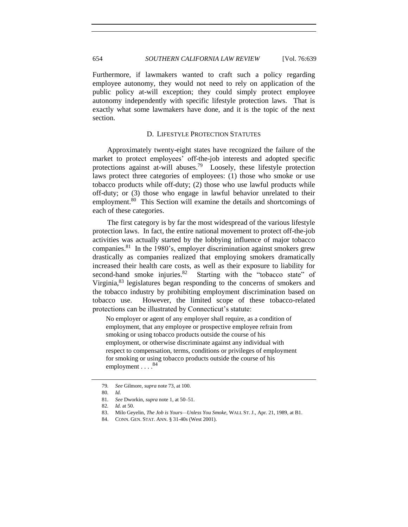654 *SOUTHERN CALIFORNIA LAW REVIEW* [Vol. 76:639

Furthermore, if lawmakers wanted to craft such a policy regarding employee autonomy, they would not need to rely on application of the public policy at-will exception; they could simply protect employee autonomy independently with specific lifestyle protection laws. That is exactly what some lawmakers have done, and it is the topic of the next section.

#### D. LIFESTYLE PROTECTION STATUTES

Approximately twenty-eight states have recognized the failure of the market to protect employees' off-the-job interests and adopted specific protections against at-will abuses.<sup>79</sup> Loosely, these lifestyle protection laws protect three categories of employees: (1) those who smoke or use tobacco products while off-duty; (2) those who use lawful products while off-duty; or (3) those who engage in lawful behavior unrelated to their employment.<sup>80</sup> This Section will examine the details and shortcomings of each of these categories.

The first category is by far the most widespread of the various lifestyle protection laws. In fact, the entire national movement to protect off-the-job activities was actually started by the lobbying influence of major tobacco companies.<sup>81</sup> In the 1980's, employer discrimination against smokers grew drastically as companies realized that employing smokers dramatically increased their health care costs, as well as their exposure to liability for second-hand smoke injuries.<sup>82</sup> Starting with the "tobacco state" of Virginia, <sup>83</sup> legislatures began responding to the concerns of smokers and the tobacco industry by prohibiting employment discrimination based on tobacco use. However, the limited scope of these tobacco-related protections can be illustrated by Connecticut's statute:

No employer or agent of any employer shall require, as a condition of employment, that any employee or prospective employee refrain from smoking or using tobacco products outside the course of his employment, or otherwise discriminate against any individual with respect to compensation, terms, conditions or privileges of employment for smoking or using tobacco products outside the course of his employment . . . . 84

<sup>79</sup>*. See* Gilmore, *supra* note [73,](#page-13-0) at 100.

<sup>80</sup>*. Id.*

<sup>81</sup>*. See* Dworkin, *supra* not[e 1,](#page-0-0) at 50–51.

<sup>82</sup>*. Id.* at 50.

<sup>83.</sup> Milo Geyelin, *The Job is Yours—Unless You Smoke*, WALL ST. J., Apr. 21, 1989, at B1.

<sup>84.</sup> CONN. GEN. STAT. ANN. § 31-40s (West 2001).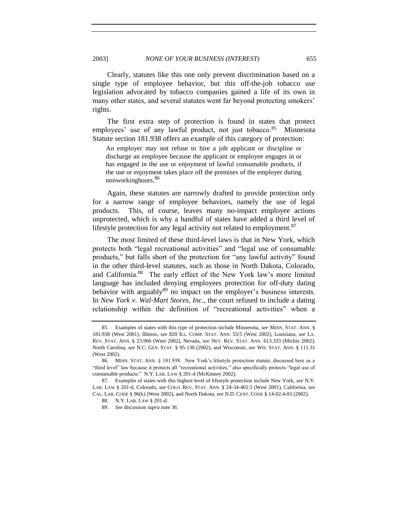Clearly, statutes like this one only prevent discrimination based on a single type of employee behavior, but this off-the-job tobacco use legislation advocated by tobacco companies gained a life of its own in many other states, and several statutes went far beyond protecting smokers' rights.

The first extra step of protection is found in states that protect employees' use of any lawful product, not just tobacco.<sup>85</sup> Minnesota Statute section 181.938 offers an example of this category of protection:

An employer may not refuse to hire a job applicant or discipline or discharge an employee because the applicant or employee engages in or has engaged in the use or enjoyment of lawful consumable products, if the use or enjoyment takes place off the premises of the employer during nonworkinghours.<sup>86</sup>

Again, these statutes are narrowly drafted to provide protection only for a narrow range of employee behaviors, namely the use of legal products. This, of course, leaves many no-impact employee actions unprotected, which is why a handful of states have added a third level of lifestyle protection for any legal activity not related to employment.  $87$ 

The most limited of these third-level laws is that in New York, which protects both "legal recreational activities" and "legal use of consumable products," but falls short of the protection for "any lawful activity" found in the other third-level statutes, such as those in North Dakota, Colorado, and California.<sup>88</sup> The early effect of the New York law's more limited language has included denying employees protection for off-duty dating behavior with arguably $89$  no impact on the employer's business interests. In *New York v. Wal-Mart Stores, Inc.*, the court refused to include a dating relationship within the definition of "recreational activities" when a

<sup>85.</sup> Examples of states with this type of protection include Minnesota, *see* MINN. STAT. ANN. § 181.938 (West 2001), Illinois, *see* 820 ILL. COMP. STAT. ANN. 55/5 (West 2002), Louisiana, *see* LA. REV. STAT. ANN. § 23:966 (West 2002), Nevada, *see* NEV. REV. STAT. ANN. 613.333 (Michie 2002), North Carolina, *see* N.C. GEN. STAT. § 95-130 (2002), and Wisconsin, *see* WIS. STAT. ANN. § 111.31 (West 2002).

<sup>86.</sup> MINN. STAT. ANN. § 181.938. New York's lifestyle protection statute, discussed here as a "third level" law because it protects all "recreational activities," also specifically protects "legal use of consumable products." N.Y. LAB. LAW § 201-d (McKinney 2002).

<sup>87.</sup> Examples of states with this highest level of lifestyle protection include New York, *see* N.Y. LAB. LAW § 201-d, Colorado, *see* COLO. REV. STAT. ANN. § 24-34-402.5 (West 2001), California, *see* CAL. LAB. CODE § 96(k) (West 2002), and North Dakota, *see* N.D. CENT. CODE § 14-02.4-03 (2002).

<sup>88.</sup> N.Y. LAB. LAW § 201-d.

<sup>89</sup>*. See* discussion *supra* not[e 36.](#page-5-1)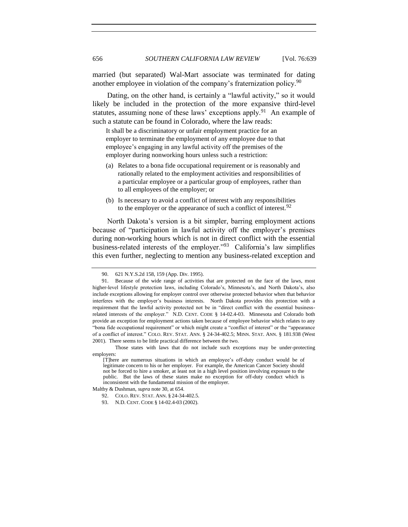married (but separated) Wal-Mart associate was terminated for dating another employee in violation of the company's fraternization policy.<sup>90</sup>

Dating, on the other hand, is certainly a "lawful activity," so it would likely be included in the protection of the more expansive third-level statutes, assuming none of these laws' exceptions apply.<sup>91</sup> An example of such a statute can be found in Colorado, where the law reads:

It shall be a discriminatory or unfair employment practice for an employer to terminate the employment of any employee due to that employee's engaging in any lawful activity off the premises of the employer during nonworking hours unless such a restriction:

- (a) Relates to a bona fide occupational requirement or is reasonably and rationally related to the employment activities and responsibilities of a particular employee or a particular group of employees, rather than to all employees of the employer; or
- (b) Is necessary to avoid a conflict of interest with any responsibilities to the employer or the appearance of such a conflict of interest.  $92$

North Dakota's version is a bit simpler, barring employment actions because of "participation in lawful activity off the employer's premises during non-working hours which is not in direct conflict with the essential business-related interests of the employer.<sup> $293$ </sup> California's law simplifies this even further, neglecting to mention any business-related exception and

<sup>90.</sup> 621 N.Y.S.2d 158, 159 (App. Div. 1995).

<sup>91.</sup> Because of the wide range of activities that are protected on the face of the laws, most higher-level lifestyle protection laws, including Colorado's, Minnesota's, and North Dakota's, also include exceptions allowing for employer control over otherwise protected behavior when that behavior interferes with the employer's business interests. North Dakota provides this protection with a requirement that the lawful activity protected not be in "direct conflict with the essential businessrelated interests of the employer." N.D. CENT. CODE § 14-02.4-03. Minnesota and Colorado both provide an exception for employment actions taken because of employee behavior which relates to any "bona fide occupational requirement" or which might create a "conflict of interest" or the "appearance of a conflict of interest." COLO. REV. STAT. ANN. § 24-34-402.5; MINN. STAT. ANN. § 181.938 (West 2001). There seems to be little practical difference between the two.

Those states with laws that do not include such exceptions may be under-protecting employers:

<sup>[</sup>T]here are numerous situations in which an employee's off-duty conduct would be of legitimate concern to his or her employer. For example, the American Cancer Society should not be forced to hire a smoker, at least not in a high level position involving exposure to the public. But the laws of these states make no exception for off-duty conduct which is inconsistent with the fundamental mission of the employer.

Maltby & Dushman, *supra* not[e 30,](#page-5-0) at 654.

<sup>92.</sup> COLO. REV. STAT. ANN. § 24-34-402.5.

<sup>93.</sup> N.D. CENT. CODE § 14-02.4-03 (2002).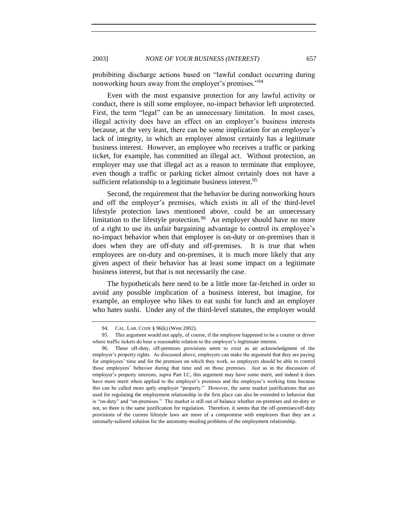prohibiting discharge actions based on "lawful conduct occurring during nonworking hours away from the employer's premises."<sup>94</sup>

Even with the most expansive protection for any lawful activity or conduct, there is still some employee, no-impact behavior left unprotected. First, the term "legal" can be an unnecessary limitation. In most cases, illegal activity does have an effect on an employer's business interests because, at the very least, there can be some implication for an employee's lack of integrity, in which an employer almost certainly has a legitimate business interest. However, an employee who receives a traffic or parking ticket, for example, has committed an illegal act. Without protection, an employer may use that illegal act as a reason to terminate that employee, even though a traffic or parking ticket almost certainly does not have a sufficient relationship to a legitimate business interest.<sup>95</sup>

Second, the requirement that the behavior be during nonworking hours and off the employer's premises, which exists in all of the third-level lifestyle protection laws mentioned above, could be an unnecessary limitation to the lifestyle protection.  $96$  An employer should have no more of a right to use its unfair bargaining advantage to control its employee's no-impact behavior when that employee is on-duty or on-premises than it does when they are off-duty and off-premises. It is true that when employees are on-duty and on-premises, it is much more likely that any given aspect of their behavior has at least some impact on a legitimate business interest, but that is not necessarily the case.

The hypotheticals here need to be a little more far-fetched in order to avoid any possible implication of a business interest, but imagine, for example, an employee who likes to eat sushi for lunch and an employer who hates sushi. Under any of the third-level statutes, the employer would

<sup>94.</sup> CAL. LAB. CODE § 96(k) (West 2002).

<sup>95.</sup> This argument would not apply, of course, if the employee happened to be a courier or driver where traffic tickets do bear a reasonable relation to the employer's legitimate interest.

<sup>96.</sup> These off-duty, off-premises provisions seem to exist as an acknowledgment of the employer's property rights. As discussed above, employers can make the argument that they are paying for employees' time and for the premises on which they work, so employers should be able to control those employees' behavior during that time and on those premises. Just as in the discussion of employer's property interests, *supra* Part I.C, this argument may have some merit, and indeed it does have more merit when applied to the employer's premises and the employee's working time because this can be called more aptly employer "property." However, the same market justifications that are used for regulating the employment relationship in the first place can also be extended to behavior that is "on-duty" and "on-premises." The market is still out of balance whether on-premises and on-duty or not, so there is the same justification for regulation. Therefore, it seems that the off-premises/off-duty provisions of the current lifestyle laws are more of a compromise with employers than they are a rationally-tailored solution for the autonomy-stealing problems of the employment relationship.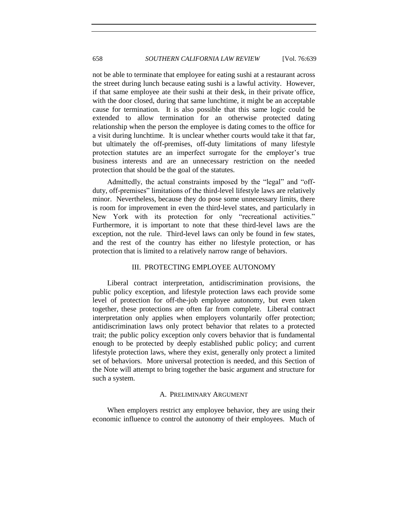not be able to terminate that employee for eating sushi at a restaurant across the street during lunch because eating sushi is a lawful activity. However, if that same employee ate their sushi at their desk, in their private office, with the door closed, during that same lunchtime, it might be an acceptable cause for termination. It is also possible that this same logic could be extended to allow termination for an otherwise protected dating relationship when the person the employee is dating comes to the office for a visit during lunchtime. It is unclear whether courts would take it that far, but ultimately the off-premises, off-duty limitations of many lifestyle protection statutes are an imperfect surrogate for the employer's true business interests and are an unnecessary restriction on the needed protection that should be the goal of the statutes.

Admittedly, the actual constraints imposed by the "legal" and "offduty, off-premises" limitations of the third-level lifestyle laws are relatively minor. Nevertheless, because they do pose some unnecessary limits, there is room for improvement in even the third-level states, and particularly in New York with its protection for only "recreational activities." Furthermore, it is important to note that these third-level laws are the exception, not the rule. Third-level laws can only be found in few states, and the rest of the country has either no lifestyle protection, or has protection that is limited to a relatively narrow range of behaviors.

#### III. PROTECTING EMPLOYEE AUTONOMY

Liberal contract interpretation, antidiscrimination provisions, the public policy exception, and lifestyle protection laws each provide some level of protection for off-the-job employee autonomy, but even taken together, these protections are often far from complete. Liberal contract interpretation only applies when employers voluntarily offer protection; antidiscrimination laws only protect behavior that relates to a protected trait; the public policy exception only covers behavior that is fundamental enough to be protected by deeply established public policy; and current lifestyle protection laws, where they exist, generally only protect a limited set of behaviors. More universal protection is needed, and this Section of the Note will attempt to bring together the basic argument and structure for such a system.

#### A. PRELIMINARY ARGUMENT

When employers restrict any employee behavior, they are using their economic influence to control the autonomy of their employees. Much of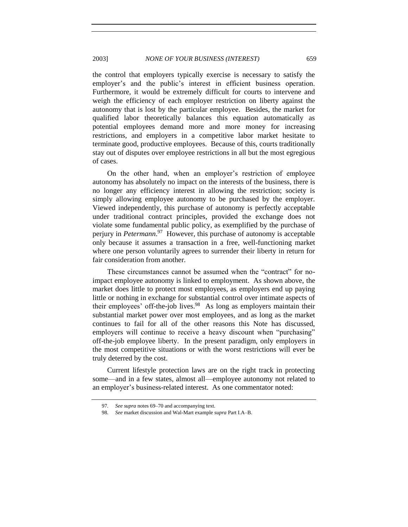the control that employers typically exercise is necessary to satisfy the employer's and the public's interest in efficient business operation. Furthermore, it would be extremely difficult for courts to intervene and weigh the efficiency of each employer restriction on liberty against the autonomy that is lost by the particular employee. Besides, the market for qualified labor theoretically balances this equation automatically as potential employees demand more and more money for increasing restrictions, and employers in a competitive labor market hesitate to terminate good, productive employees. Because of this, courts traditionally stay out of disputes over employee restrictions in all but the most egregious of cases.

On the other hand, when an employer's restriction of employee autonomy has absolutely no impact on the interests of the business, there is no longer any efficiency interest in allowing the restriction; society is simply allowing employee autonomy to be purchased by the employer. Viewed independently, this purchase of autonomy is perfectly acceptable under traditional contract principles, provided the exchange does not violate some fundamental public policy, as exemplified by the purchase of perjury in *Petermann*. 97 However, this purchase of autonomy is acceptable only because it assumes a transaction in a free, well-functioning market where one person voluntarily agrees to surrender their liberty in return for fair consideration from another.

These circumstances cannot be assumed when the "contract" for noimpact employee autonomy is linked to employment. As shown above, the market does little to protect most employees, as employers end up paying little or nothing in exchange for substantial control over intimate aspects of their employees' off-the-job lives.<sup>98</sup> As long as employers maintain their substantial market power over most employees, and as long as the market continues to fail for all of the other reasons this Note has discussed, employers will continue to receive a heavy discount when "purchasing" off-the-job employee liberty. In the present paradigm, only employers in the most competitive situations or with the worst restrictions will ever be truly deterred by the cost.

Current lifestyle protection laws are on the right track in protecting some—and in a few states, almost all—employee autonomy not related to an employer's business-related interest. As one commentator noted:

<sup>97</sup>*. See supra* note[s 69](#page-13-1)[–70](#page-13-2) and accompanying text.

<sup>98</sup>*. See* market discussion and Wal-Mart example *supra* Part I.A–B.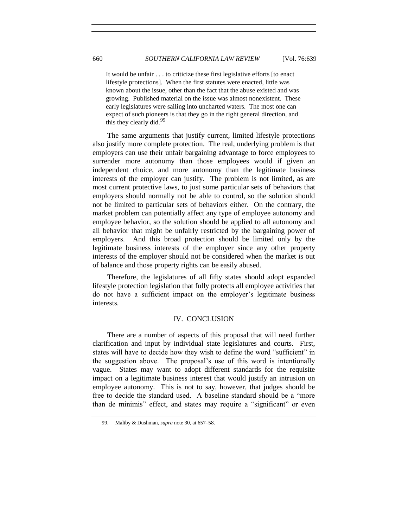It would be unfair . . . to criticize these first legislative efforts [to enact lifestyle protections]. When the first statutes were enacted, little was known about the issue, other than the fact that the abuse existed and was growing. Published material on the issue was almost nonexistent. These early legislatures were sailing into uncharted waters. The most one can expect of such pioneers is that they go in the right general direction, and this they clearly did.<sup>99</sup>

The same arguments that justify current, limited lifestyle protections also justify more complete protection. The real, underlying problem is that employers can use their unfair bargaining advantage to force employees to surrender more autonomy than those employees would if given an independent choice, and more autonomy than the legitimate business interests of the employer can justify. The problem is not limited, as are most current protective laws, to just some particular sets of behaviors that employers should normally not be able to control, so the solution should not be limited to particular sets of behaviors either. On the contrary, the market problem can potentially affect any type of employee autonomy and employee behavior, so the solution should be applied to all autonomy and all behavior that might be unfairly restricted by the bargaining power of employers. And this broad protection should be limited only by the legitimate business interests of the employer since any other property interests of the employer should not be considered when the market is out of balance and those property rights can be easily abused.

Therefore, the legislatures of all fifty states should adopt expanded lifestyle protection legislation that fully protects all employee activities that do not have a sufficient impact on the employer's legitimate business interests.

#### IV. CONCLUSION

There are a number of aspects of this proposal that will need further clarification and input by individual state legislatures and courts. First, states will have to decide how they wish to define the word "sufficient" in the suggestion above. The proposal's use of this word is intentionally vague. States may want to adopt different standards for the requisite impact on a legitimate business interest that would justify an intrusion on employee autonomy. This is not to say, however, that judges should be free to decide the standard used. A baseline standard should be a "more" than de minimis" effect, and states may require a "significant" or even

<sup>99.</sup> Maltby & Dushman, *supra* not[e 30,](#page-5-0) at 657–58.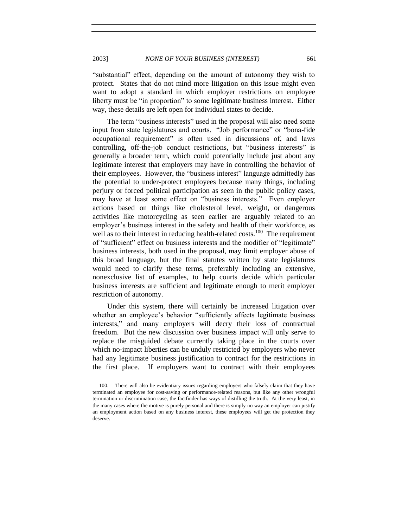―substantial‖ effect, depending on the amount of autonomy they wish to protect. States that do not mind more litigation on this issue might even want to adopt a standard in which employer restrictions on employee liberty must be "in proportion" to some legitimate business interest. Either way, these details are left open for individual states to decide.

The term "business interests" used in the proposal will also need some input from state legislatures and courts. "Job performance" or "bona-fide occupational requirement" is often used in discussions of, and laws controlling, off-the-job conduct restrictions, but "business interests" is generally a broader term, which could potentially include just about any legitimate interest that employers may have in controlling the behavior of their employees. However, the "business interest" language admittedly has the potential to under-protect employees because many things, including perjury or forced political participation as seen in the public policy cases, may have at least some effect on "business interests." Even employer actions based on things like cholesterol level, weight, or dangerous activities like motorcycling as seen earlier are arguably related to an employer's business interest in the safety and health of their workforce, as well as to their interest in reducing health-related costs.<sup>100</sup> The requirement of "sufficient" effect on business interests and the modifier of "legitimate" business interests, both used in the proposal, may limit employer abuse of this broad language, but the final statutes written by state legislatures would need to clarify these terms, preferably including an extensive, nonexclusive list of examples, to help courts decide which particular business interests are sufficient and legitimate enough to merit employer restriction of autonomy.

Under this system, there will certainly be increased litigation over whether an employee's behavior "sufficiently affects legitimate business interests," and many employers will decry their loss of contractual freedom. But the new discussion over business impact will only serve to replace the misguided debate currently taking place in the courts over which no-impact liberties can be unduly restricted by employers who never had any legitimate business justification to contract for the restrictions in the first place. If employers want to contract with their employees

<sup>100.</sup> There will also be evidentiary issues regarding employers who falsely claim that they have terminated an employee for cost-saving or performance-related reasons, but like any other wrongful termination or discrimination case, the factfinder has ways of distilling the truth. At the very least, in the many cases where the motive is purely personal and there is simply no way an employer can justify an employment action based on any business interest, these employees will get the protection they deserve.